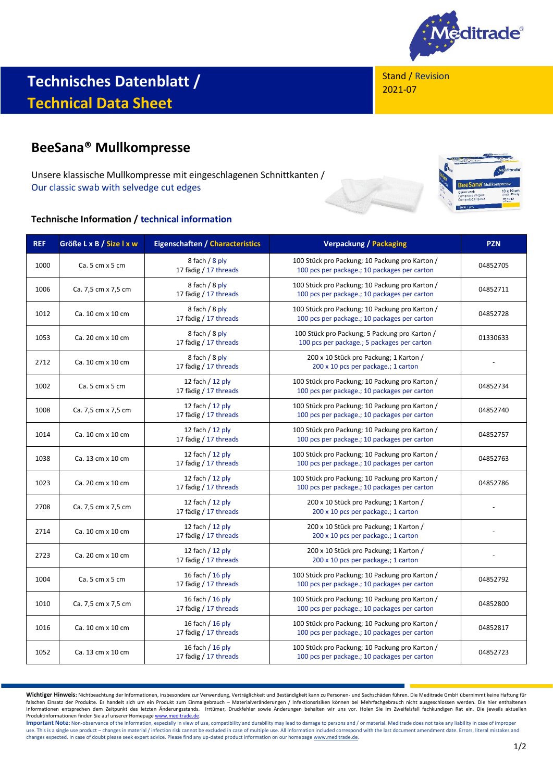

Stand / Revision 2021-07

# **Technisches Datenblatt / Technical Data Sheet**

# **BeeSana® Mullkompresse**

Unsere klassische Mullkompresse mit eingeschlagenen Schnittkanten / Our classic swab with selvedge cut edges

## **Technische Information / technical information**

| <b>REF</b> | Größe L x B / Size I x w | <b>Eigenschaften / Characteristics</b>      | <b>Verpackung / Packaging</b>                                                                  | <b>PZN</b> |
|------------|--------------------------|---------------------------------------------|------------------------------------------------------------------------------------------------|------------|
| 1000       | Ca. 5 cm x 5 cm          | 8 fach / 8 ply<br>17 fädig / 17 threads     | 100 Stück pro Packung; 10 Packung pro Karton /<br>100 pcs per package.; 10 packages per carton | 04852705   |
| 1006       | Ca. 7,5 cm x 7,5 cm      | 8 fach / 8 ply<br>17 fädig / 17 threads     | 100 Stück pro Packung; 10 Packung pro Karton /<br>100 pcs per package.; 10 packages per carton | 04852711   |
| 1012       | Ca. 10 cm x 10 cm        | 8 fach / 8 ply<br>17 fädig / 17 threads     | 100 Stück pro Packung; 10 Packung pro Karton /<br>100 pcs per package.; 10 packages per carton | 04852728   |
| 1053       | Ca. 20 cm x 10 cm        | 8 fach / 8 ply<br>17 fädig / 17 threads     | 100 Stück pro Packung; 5 Packung pro Karton /<br>100 pcs per package.; 5 packages per carton   | 01330633   |
| 2712       | Ca. 10 cm x 10 cm        | 8 fach / 8 ply<br>17 fädig / 17 threads     | 200 x 10 Stück pro Packung; 1 Karton /<br>200 x 10 pcs per package.; 1 carton                  |            |
| 1002       | Ca. 5 cm x 5 cm          | 12 fach / 12 ply<br>17 fädig / 17 threads   | 100 Stück pro Packung; 10 Packung pro Karton /<br>100 pcs per package.; 10 packages per carton | 04852734   |
| 1008       | Ca. 7,5 cm x 7,5 cm      | 12 fach / 12 ply<br>17 fädig / 17 threads   | 100 Stück pro Packung; 10 Packung pro Karton /<br>100 pcs per package.; 10 packages per carton | 04852740   |
| 1014       | Ca. 10 cm x 10 cm        | 12 fach / 12 ply<br>17 fädig / 17 threads   | 100 Stück pro Packung; 10 Packung pro Karton /<br>100 pcs per package.; 10 packages per carton | 04852757   |
| 1038       | Ca. 13 cm x 10 cm        | 12 fach / 12 ply<br>17 fädig / 17 threads   | 100 Stück pro Packung; 10 Packung pro Karton /<br>100 pcs per package.; 10 packages per carton | 04852763   |
| 1023       | Ca. 20 cm x 10 cm        | 12 fach / 12 ply<br>17 fädig / 17 threads   | 100 Stück pro Packung; 10 Packung pro Karton /<br>100 pcs per package.; 10 packages per carton | 04852786   |
| 2708       | Ca. 7,5 cm x 7,5 cm      | 12 fach $/$ 12 ply<br>17 fädig / 17 threads | 200 x 10 Stück pro Packung; 1 Karton /<br>200 x 10 pcs per package.; 1 carton                  |            |
| 2714       | Ca. 10 cm x 10 cm        | 12 fach $/$ 12 ply<br>17 fädig / 17 threads | 200 x 10 Stück pro Packung; 1 Karton /<br>200 x 10 pcs per package.; 1 carton                  |            |
| 2723       | Ca. 20 cm x 10 cm        | 12 fach $/$ 12 ply<br>17 fädig / 17 threads | 200 x 10 Stück pro Packung; 1 Karton /<br>200 x 10 pcs per package.; 1 carton                  |            |
| 1004       | Ca. 5 cm x 5 cm          | 16 fach / 16 ply<br>17 fädig / 17 threads   | 100 Stück pro Packung; 10 Packung pro Karton /<br>100 pcs per package.; 10 packages per carton | 04852792   |
| 1010       | Ca. 7,5 cm x 7,5 cm      | 16 fach / 16 ply<br>17 fädig / 17 threads   | 100 Stück pro Packung; 10 Packung pro Karton /<br>100 pcs per package.; 10 packages per carton | 04852800   |
| 1016       | Ca. 10 cm x 10 cm        | 16 fach / 16 ply<br>17 fädig / 17 threads   | 100 Stück pro Packung; 10 Packung pro Karton /<br>100 pcs per package.; 10 packages per carton | 04852817   |
| 1052       | Ca. 13 cm x 10 cm        | 16 fach $/$ 16 ply<br>17 fädig / 17 threads | 100 Stück pro Packung; 10 Packung pro Karton /<br>100 pcs per package.; 10 packages per carton | 04852723   |

**Wichtiger Hinweis:** Nichtbeachtung der Informationen, insbesondere zur Verwendung, Verträglichkeit und Beständigkeit kann zu Personen- und Sachschäden führen. Die Meditrade GmbH übernimmt keine Haftung für falschen Einsatz der Produkte. Es handelt sich um ein Produkt zum Einmalgebrauch – Materialveränderungen / Infektionsrisiken können bei Mehrfachgebrauch nicht ausgeschlossen werden. Die hier enthaltenen Informationen entsprechen dem Zeitpunkt des letzten Änderungsstands. Irrtümer, Druckfehler sowie Änderungen behalten wir uns vor. Holen Sie im Zweifelsfall fachkundigen Rat ein. Die jeweils aktuellen Produktinformationen finden Sie auf unserer Homepag[e www.meditrade.de.](http://www.meditrade.de/)

Important Note: Non-observance of the information, especially in view of use, compatibility and durability may lead to damage to persons and / or material. Meditrade does not take any liability in case of improper use. This is a single use product – changes in material / infection risk cannot be excluded in case of multiple use. All information included correspond with the last document amendment date. Errors, literal mistakes and<br>c

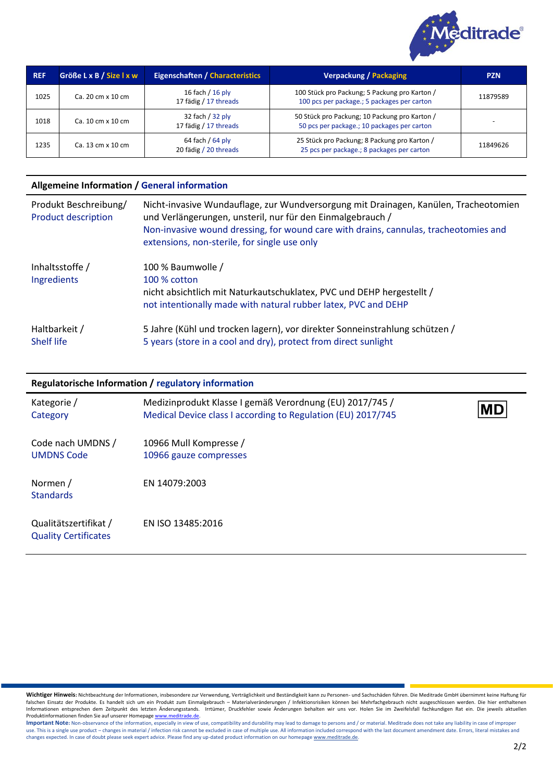

| <b>REF</b> | Größe L x B / Size I x w | <b>Eigenschaften / Characteristics</b>      | <b>Verpackung / Packaging</b>                                                                | <b>PZN</b> |
|------------|--------------------------|---------------------------------------------|----------------------------------------------------------------------------------------------|------------|
| 1025       | Ca. 20 cm x 10 cm        | 16 fach / 16 ply<br>17 fädig / 17 threads   | 100 Stück pro Packung; 5 Packung pro Karton /<br>100 pcs per package.; 5 packages per carton | 11879589   |
| 1018       | Ca. 10 cm x 10 cm        | 32 fach / 32 ply<br>17 fädig / 17 threads   | 50 Stück pro Packung; 10 Packung pro Karton /<br>50 pcs per package.; 10 packages per carton |            |
| 1235       | Ca. 13 cm x 10 cm        | 64 fach / $64$ ply<br>20 fädig / 20 threads | 25 Stück pro Packung; 8 Packung pro Karton /<br>25 pcs per package.; 8 packages per carton   | 11849626   |

## **Allgemeine Information / General information**

| Produkt Beschreibung/<br><b>Product description</b> | Nicht-invasive Wundauflage, zur Wundversorgung mit Drainagen, Kanülen, Tracheotomien<br>und Verlängerungen, unsteril, nur für den Einmalgebrauch /<br>Non-invasive wound dressing, for wound care with drains, cannulas, tracheotomies and<br>extensions, non-sterile, for single use only |
|-----------------------------------------------------|--------------------------------------------------------------------------------------------------------------------------------------------------------------------------------------------------------------------------------------------------------------------------------------------|
| Inhaltsstoffe /<br>Ingredients                      | 100 % Baumwolle /<br>100 % cotton<br>nicht absichtlich mit Naturkautschuklatex, PVC und DEHP hergestellt /<br>not intentionally made with natural rubber latex, PVC and DEHP                                                                                                               |
| Haltbarkeit /<br>Shelf life                         | 5 Jahre (Kühl und trocken lagern), vor direkter Sonneinstrahlung schützen /<br>5 years (store in a cool and dry), protect from direct sunlight                                                                                                                                             |

#### **Regulatorische Information / regulatory information**

| Kategorie /<br>Category                              | Medizinprodukt Klasse I gemäß Verordnung (EU) 2017/745 /<br>Medical Device class I according to Regulation (EU) 2017/745 | <b>MD</b> |
|------------------------------------------------------|--------------------------------------------------------------------------------------------------------------------------|-----------|
| Code nach UMDNS /<br><b>UMDNS Code</b>               | 10966 Mull Kompresse /<br>10966 gauze compresses                                                                         |           |
| Normen /<br><b>Standards</b>                         | EN 14079:2003                                                                                                            |           |
| Qualitätszertifikat /<br><b>Quality Certificates</b> | EN ISO 13485:2016                                                                                                        |           |

**Wichtiger Hinweis:** Nichtbeachtung der Informationen, insbesondere zur Verwendung, Verträglichkeit und Beständigkeit kann zu Personen- und Sachschäden führen. Die Meditrade GmbH übernimmt keine Haftung für<br>falschen Einsat Produktinformationen finden Sie auf unserer Homepag[e www.meditrade.de.](http://www.meditrade.de/)

Important Note: Non-observance of the information, especially in view of use, compatibility and durability may lead to damage to persons and / or material. Meditrade does not take any liability in case of improper use. This is a single use product – changes in material / infection risk cannot be excluded in case of multiple use. All information included correspond with the last document amendment date. Errors, literal mistakes and<br>c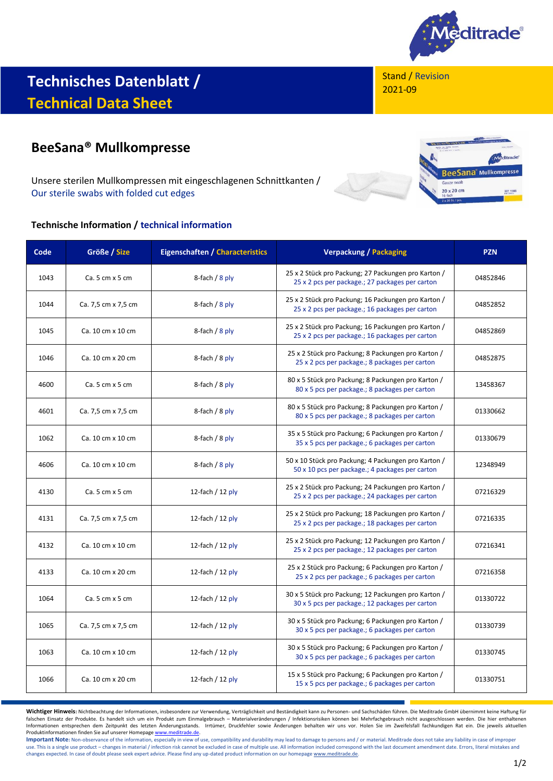

# **Technisches Datenblatt / Technical Data Sheet**

# **BeeSana® Mullkompresse**

Unsere sterilen Mullkompressen mit eingeschlagenen Schnittkanten / Our sterile swabs with folded cut edges

#### **Technische Information / technical information**

Stand / Revision 2021-09



| Code | Größe / Size          | <b>Eigenschaften / Characteristics</b> | <b>Verpackung / Packaging</b>                                                                          | <b>PZN</b> |
|------|-----------------------|----------------------------------------|--------------------------------------------------------------------------------------------------------|------------|
| 1043 | $Ca.5 cm \times 5 cm$ | 8-fach $/ 8$ ply                       | 25 x 2 Stück pro Packung; 27 Packungen pro Karton /<br>25 x 2 pcs per package.; 27 packages per carton | 04852846   |
| 1044 | Ca. 7,5 cm x 7,5 cm   | 8-fach $/ 8$ ply                       | 25 x 2 Stück pro Packung; 16 Packungen pro Karton /<br>25 x 2 pcs per package.; 16 packages per carton | 04852852   |
| 1045 | Ca. 10 cm x 10 cm     | 8-fach / 8 ply                         | 25 x 2 Stück pro Packung; 16 Packungen pro Karton /<br>25 x 2 pcs per package.; 16 packages per carton | 04852869   |
| 1046 | Ca. 10 cm x 20 cm     | 8-fach $/ 8$ ply                       | 25 x 2 Stück pro Packung; 8 Packungen pro Karton /<br>25 x 2 pcs per package.; 8 packages per carton   | 04852875   |
| 4600 | Ca.5 cm x 5 cm        | 8-fach / $8$ ply                       | 80 x 5 Stück pro Packung; 8 Packungen pro Karton /<br>80 x 5 pcs per package.; 8 packages per carton   | 13458367   |
| 4601 | Ca. 7,5 cm x 7,5 cm   | 8-fach / $8$ ply                       | 80 x 5 Stück pro Packung; 8 Packungen pro Karton /<br>80 x 5 pcs per package.; 8 packages per carton   | 01330662   |
| 1062 | Ca. 10 cm x 10 cm     | 8-fach $/ 8$ ply                       | 35 x 5 Stück pro Packung; 6 Packungen pro Karton /<br>35 x 5 pcs per package.; 6 packages per carton   | 01330679   |
| 4606 | Ca. 10 cm x 10 cm     | 8-fach $/ 8$ ply                       | 50 x 10 Stück pro Packung; 4 Packungen pro Karton /<br>50 x 10 pcs per package.; 4 packages per carton | 12348949   |
| 4130 | $Ca.5 cm \times 5 cm$ | 12-fach $/$ 12 ply                     | 25 x 2 Stück pro Packung; 24 Packungen pro Karton /<br>25 x 2 pcs per package.; 24 packages per carton | 07216329   |
| 4131 | Ca. 7,5 cm x 7,5 cm   | 12-fach $/$ 12 ply                     | 25 x 2 Stück pro Packung; 18 Packungen pro Karton /<br>25 x 2 pcs per package.; 18 packages per carton | 07216335   |
| 4132 | Ca. 10 cm x 10 cm     | 12-fach / $12$ ply                     | 25 x 2 Stück pro Packung; 12 Packungen pro Karton /<br>25 x 2 pcs per package.; 12 packages per carton | 07216341   |
| 4133 | Ca. 10 cm x 20 cm     | 12-fach $/$ 12 ply                     | 25 x 2 Stück pro Packung; 6 Packungen pro Karton /<br>25 x 2 pcs per package.; 6 packages per carton   | 07216358   |
| 1064 | $Ca.5 cm \times 5 cm$ | 12-fach $/$ 12 ply                     | 30 x 5 Stück pro Packung; 12 Packungen pro Karton /<br>30 x 5 pcs per package.; 12 packages per carton | 01330722   |
| 1065 | Ca. 7,5 cm x 7,5 cm   | 12-fach / $12$ ply                     | 30 x 5 Stück pro Packung; 6 Packungen pro Karton /<br>30 x 5 pcs per package.; 6 packages per carton   | 01330739   |
| 1063 | Ca. 10 cm x 10 cm     | 12-fach $/$ 12 ply                     | 30 x 5 Stück pro Packung; 6 Packungen pro Karton /<br>30 x 5 pcs per package.; 6 packages per carton   | 01330745   |
| 1066 | Ca. 10 cm x 20 cm     | 12-fach $/$ 12 ply                     | 15 x 5 Stück pro Packung; 6 Packungen pro Karton /<br>15 x 5 pcs per package.; 6 packages per carton   | 01330751   |

Wichtiger Hinweis: Nichtbeachtung der Informationen, insbesondere zur Verwendung, Verträglichkeit und Beständigkeit kann zu Personen- und Sachschäden führen. Die Meditrade GmbH übernimmt keine Haftung für<br>falschen Einsatz Informationen entsprechen dem Zeitpunkt des letzten Änderungsstands. Irrtümer, Druckfehler sowie Änderungen behalten wir uns vor. Holen Sie im Zweifelsfall fachkundigen Rat ein. Die jeweils aktuellen Produktinformationen finden Sie auf unserer Homepag[e www.meditrade.de.](http://www.meditrade.de/)

Important Note: Non-observance of the information, especially in view of use, compatibility and durability may lead to damage to persons and / or material. Meditrade does not take any liability in case of improper use. This is a single use product – changes in material / infection risk cannot be excluded in case of multiple use. All information included correspond with the last document amendment date. Errors, literal mistakes and w changes expected. In case of doubt please seek expert advice. Please find any up-dated product information on our homepag[e www.meditrade.de.](http://www.meditrade.de/)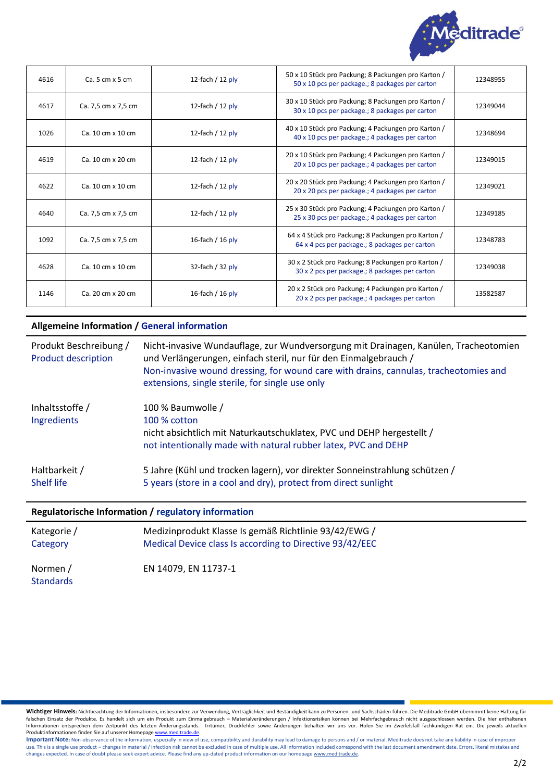

| 4616 | $Ca.5 cm \times 5 cm$ | 12-fach $/$ 12 ply | 50 x 10 Stück pro Packung; 8 Packungen pro Karton /<br>50 x 10 pcs per package.; 8 packages per carton | 12348955 |
|------|-----------------------|--------------------|--------------------------------------------------------------------------------------------------------|----------|
| 4617 | Ca. 7,5 cm x 7,5 cm   | 12-fach $/$ 12 ply | 30 x 10 Stück pro Packung; 8 Packungen pro Karton /<br>30 x 10 pcs per package.; 8 packages per carton | 12349044 |
| 1026 | Ca. 10 cm x 10 cm     | 12-fach $/$ 12 ply | 40 x 10 Stück pro Packung; 4 Packungen pro Karton /<br>40 x 10 pcs per package.; 4 packages per carton | 12348694 |
| 4619 | Ca. 10 cm x 20 cm     | 12-fach $/$ 12 ply | 20 x 10 Stück pro Packung; 4 Packungen pro Karton /<br>20 x 10 pcs per package.; 4 packages per carton | 12349015 |
| 4622 | Ca. 10 cm x 10 cm     | 12-fach $/$ 12 ply | 20 x 20 Stück pro Packung; 4 Packungen pro Karton /<br>20 x 20 pcs per package.; 4 packages per carton | 12349021 |
| 4640 | Ca. 7,5 cm x 7,5 cm   | 12-fach $/$ 12 ply | 25 x 30 Stück pro Packung; 4 Packungen pro Karton /<br>25 x 30 pcs per package.; 4 packages per carton | 12349185 |
| 1092 | Ca. 7,5 cm x 7,5 cm   | 16-fach / $16$ ply | 64 x 4 Stück pro Packung; 8 Packungen pro Karton /<br>64 x 4 pcs per package.; 8 packages per carton   | 12348783 |
| 4628 | Ca. 10 cm x 10 cm     | 32-fach / $32$ ply | 30 x 2 Stück pro Packung; 8 Packungen pro Karton /<br>30 x 2 pcs per package.; 8 packages per carton   | 12349038 |
| 1146 | Ca. 20 cm x 20 cm     | 16-fach / $16$ ply | 20 x 2 Stück pro Packung; 4 Packungen pro Karton /<br>20 x 2 pcs per package.; 4 packages per carton   | 13582587 |

## **Allgemeine Information / General information**

| Produkt Beschreibung /<br><b>Product description</b> | Nicht-invasive Wundauflage, zur Wundversorgung mit Drainagen, Kanülen, Tracheotomien<br>und Verlängerungen, einfach steril, nur für den Einmalgebrauch /<br>Non-invasive wound dressing, for wound care with drains, cannulas, tracheotomies and<br>extensions, single sterile, for single use only |
|------------------------------------------------------|-----------------------------------------------------------------------------------------------------------------------------------------------------------------------------------------------------------------------------------------------------------------------------------------------------|
| Inhaltsstoffe /<br>Ingredients                       | 100 % Baumwolle /<br>100 % cotton<br>nicht absichtlich mit Naturkautschuklatex, PVC und DEHP hergestellt /<br>not intentionally made with natural rubber latex, PVC and DEHP                                                                                                                        |
| Haltbarkeit /<br><b>Shelf life</b>                   | 5 Jahre (Kühl und trocken lagern), vor direkter Sonneinstrahlung schützen /<br>5 years (store in a cool and dry), protect from direct sunlight                                                                                                                                                      |

#### **Regulatorische Information / regulatory information**

| Kategorie /      | Medizinprodukt Klasse Is gemäß Richtlinie 93/42/EWG /    |  |
|------------------|----------------------------------------------------------|--|
| Category         | Medical Device class Is according to Directive 93/42/EEC |  |
| Normen /         | EN 14079. EN 11737-1                                     |  |
| <b>Standards</b> |                                                          |  |

Wichtiger Hinweis: Nichtbeachtung der Informationen, insbesondere zur Verwendung, Verträglichkeit und Beständigkeit kann zu Personen- und Sachschäden führen. Die Meditrade GmbH übernimmt keine Haftung für<br>falschen Einsatz Informationen entsprechen dem Zeitpunkt des letzten Änderungsstands. Irrtümer, Druckfehler sowie Änderungen behalten wir uns vor. Holen Sie im Zweifelsfall fachkundigen Rat ein. Die jeweils aktuellen Produktinformationen finden Sie auf unserer Homepag[e www.meditrade.de.](http://www.meditrade.de/)

Important Note: Non-observance of the information, especially in view of use, compatibility and durability may lead to damage to persons and / or material. Meditrade does not take any liability in case of improper use. This is a single use product – changes in material / infection risk cannot be excluded in case of multiple use. All information included correspond with the last document amendment date. Errors, literal mistakes and w changes expected. In case of doubt please seek expert advice. Please find any up-dated product information on our homepag[e www.meditrade.de.](http://www.meditrade.de/)